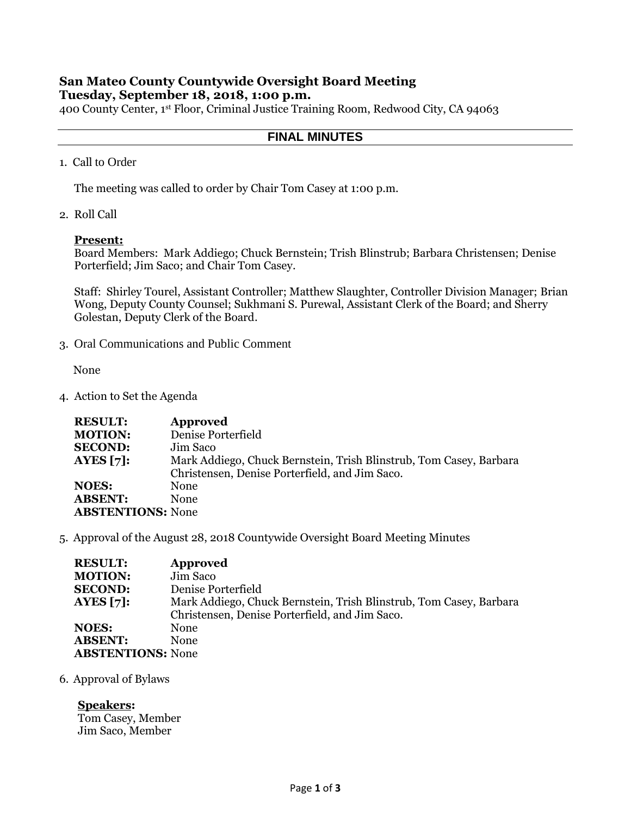# **San Mateo County Countywide Oversight Board Meeting Tuesday, September 18, 2018, 1:00 p.m.**

400 County Center, 1st Floor, Criminal Justice Training Room, Redwood City, CA 94063

## **FINAL MINUTES**

1. Call to Order

The meeting was called to order by Chair Tom Casey at 1:00 p.m.

2. Roll Call

## **Present:**

Board Members: Mark Addiego; Chuck Bernstein; Trish Blinstrub; Barbara Christensen; Denise Porterfield; Jim Saco; and Chair Tom Casey.

Staff: Shirley Tourel, Assistant Controller; Matthew Slaughter, Controller Division Manager; Brian Wong, Deputy County Counsel; Sukhmani S. Purewal, Assistant Clerk of the Board; and Sherry Golestan, Deputy Clerk of the Board.

3. Oral Communications and Public Comment

None

4. Action to Set the Agenda

| <b>RESULT:</b>           | Approved                                                           |
|--------------------------|--------------------------------------------------------------------|
| <b>MOTION:</b>           | Denise Porterfield                                                 |
| <b>SECOND:</b>           | Jim Saco                                                           |
| AYES $[7]:$              | Mark Addiego, Chuck Bernstein, Trish Blinstrub, Tom Casey, Barbara |
|                          | Christensen, Denise Porterfield, and Jim Saco.                     |
| <b>NOES:</b>             | None                                                               |
| <b>ABSENT:</b>           | None                                                               |
| <b>ABSTENTIONS: None</b> |                                                                    |

5. Approval of the August 28, 2018 Countywide Oversight Board Meeting Minutes

| <b>RESULT:</b>           | Approved                                                           |
|--------------------------|--------------------------------------------------------------------|
| <b>MOTION:</b>           | Jim Saco                                                           |
| <b>SECOND:</b>           | Denise Porterfield                                                 |
| AYES $[7]$ :             | Mark Addiego, Chuck Bernstein, Trish Blinstrub, Tom Casey, Barbara |
|                          | Christensen, Denise Porterfield, and Jim Saco.                     |
| NOES:                    | <b>None</b>                                                        |
| <b>ABSENT:</b>           | <b>None</b>                                                        |
| <b>ABSTENTIONS:</b> None |                                                                    |

6. Approval of Bylaws

**Speakers:**  Tom Casey, Member Jim Saco, Member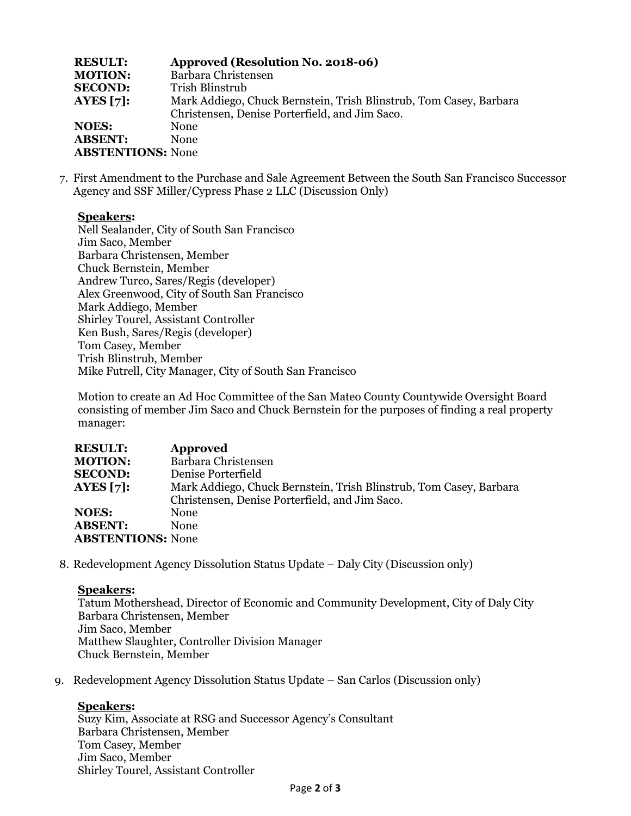| <b>RESULT:</b>           | Approved (Resolution No. 2018-06)                                  |
|--------------------------|--------------------------------------------------------------------|
| <b>MOTION:</b>           | Barbara Christensen                                                |
| <b>SECOND:</b>           | Trish Blinstrub                                                    |
| AYES $[7]$ :             | Mark Addiego, Chuck Bernstein, Trish Blinstrub, Tom Casey, Barbara |
|                          | Christensen, Denise Porterfield, and Jim Saco.                     |
| <b>NOES:</b>             | <b>None</b>                                                        |
| <b>ABSENT:</b>           | <b>None</b>                                                        |
| <b>ABSTENTIONS: None</b> |                                                                    |

7. First Amendment to the Purchase and Sale Agreement Between the South San Francisco Successor Agency and SSF Miller/Cypress Phase 2 LLC (Discussion Only)

## **Speakers:**

Nell Sealander, City of South San Francisco Jim Saco, Member Barbara Christensen, Member Chuck Bernstein, Member Andrew Turco, Sares/Regis (developer) Alex Greenwood, City of South San Francisco Mark Addiego, Member Shirley Tourel, Assistant Controller Ken Bush, Sares/Regis (developer) Tom Casey, Member Trish Blinstrub, Member Mike Futrell, City Manager, City of South San Francisco

Motion to create an Ad Hoc Committee of the San Mateo County Countywide Oversight Board consisting of member Jim Saco and Chuck Bernstein for the purposes of finding a real property manager:

| <b>RESULT:</b>           | <b>Approved</b>                                                    |
|--------------------------|--------------------------------------------------------------------|
| <b>MOTION:</b>           | Barbara Christensen                                                |
| <b>SECOND:</b>           | Denise Porterfield                                                 |
| AYES $[7]:$              | Mark Addiego, Chuck Bernstein, Trish Blinstrub, Tom Casey, Barbara |
|                          | Christensen, Denise Porterfield, and Jim Saco.                     |
| <b>NOES:</b>             | <b>None</b>                                                        |
| <b>ABSENT:</b>           | <b>None</b>                                                        |
| <b>ABSTENTIONS: None</b> |                                                                    |

8. Redevelopment Agency Dissolution Status Update – Daly City (Discussion only)

## **Speakers:**

Tatum Mothershead, Director of Economic and Community Development, City of Daly City Barbara Christensen, Member Jim Saco, Member Matthew Slaughter, Controller Division Manager Chuck Bernstein, Member

9. Redevelopment Agency Dissolution Status Update – San Carlos (Discussion only)

## **Speakers:**

Suzy Kim, Associate at RSG and Successor Agency's Consultant Barbara Christensen, Member Tom Casey, Member Jim Saco, Member Shirley Tourel, Assistant Controller